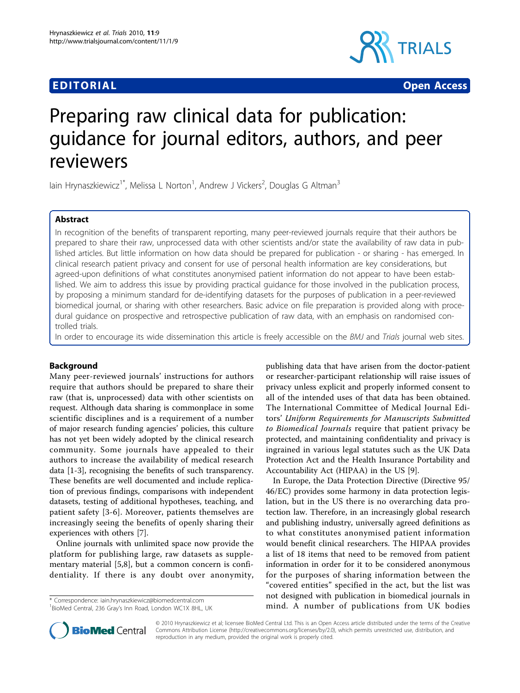## **EDITORIAL** CONTROL CONTROL CONTROL CONTROL CONTROL CONTROL CONTROL CONTROL CONTROL CONTROL CONTROL CONTROL CONTROL CONTROL CONTROL CONTROL CONTROL CONTROL CONTROL CONTROL CONTROL CONTROL CONTROL CONTROL CONTROL CONTROL CO



# Preparing raw clinical data for publication: guidance for journal editors, authors, and peer reviewers

lain Hrynaszkiewicz<sup>1\*</sup>, Melissa L Norton<sup>1</sup>, Andrew J Vickers<sup>2</sup>, Douglas G Altman<sup>3</sup>

## Abstract

In recognition of the benefits of transparent reporting, many peer-reviewed journals require that their authors be prepared to share their raw, unprocessed data with other scientists and/or state the availability of raw data in published articles. But little information on how data should be prepared for publication - or sharing - has emerged. In clinical research patient privacy and consent for use of personal health information are key considerations, but agreed-upon definitions of what constitutes anonymised patient information do not appear to have been established. We aim to address this issue by providing practical guidance for those involved in the publication process, by proposing a minimum standard for de-identifying datasets for the purposes of publication in a peer-reviewed biomedical journal, or sharing with other researchers. Basic advice on file preparation is provided along with procedural guidance on prospective and retrospective publication of raw data, with an emphasis on randomised controlled trials.

In order to encourage its wide dissemination this article is freely accessible on the BMJ and Trials journal web sites.

## Background

Many peer-reviewed journals' instructions for authors require that authors should be prepared to share their raw (that is, unprocessed) data with other scientists on request. Although data sharing is commonplace in some scientific disciplines and is a requirement of a number of major research funding agencies' policies, this culture has not yet been widely adopted by the clinical research community. Some journals have appealed to their authors to increase the availability of medical research data [\[1](#page-4-0)-[3\]](#page-4-0), recognising the benefits of such transparency. These benefits are well documented and include replication of previous findings, comparisons with independent datasets, testing of additional hypotheses, teaching, and patient safety [[3-6\]](#page-4-0). Moreover, patients themselves are increasingly seeing the benefits of openly sharing their experiences with others [[7\]](#page-4-0).

Online journals with unlimited space now provide the platform for publishing large, raw datasets as supplementary material [\[5,8](#page-4-0)], but a common concern is confidentiality. If there is any doubt over anonymity,

<sup>1</sup> BioMed Central, 236 Gray's Inn Road, London WC1X 8HL, UK

publishing data that have arisen from the doctor-patient or researcher-participant relationship will raise issues of privacy unless explicit and properly informed consent to all of the intended uses of that data has been obtained. The International Committee of Medical Journal Editors' Uniform Requirements for Manuscripts Submitted to Biomedical Journals require that patient privacy be protected, and maintaining confidentiality and privacy is ingrained in various legal statutes such as the UK Data Protection Act and the Health Insurance Portability and Accountability Act (HIPAA) in the US [\[9](#page-4-0)].

In Europe, the Data Protection Directive (Directive 95/ 46/EC) provides some harmony in data protection legislation, but in the US there is no overarching data protection law. Therefore, in an increasingly global research and publishing industry, universally agreed definitions as to what constitutes anonymised patient information would benefit clinical researchers. The HIPAA provides a list of 18 items that need to be removed from patient information in order for it to be considered anonymous for the purposes of sharing information between the "covered entities" specified in the act, but the list was not designed with publication in biomedical journals in \* Correspondence: [iain.hrynaszkiewicz@biomedcentral.com](mailto:iain.hrynaszkiewicz@biomedcentral.com) **a statem and the statem of publications from UK bodies**<br><sup>1</sup>BioMed Central 236 Grav's Inn Road London WC1X 8HL UK **mind. A number of publications from UK bodies** 



© 2010 Hrynaszkiewicz et al; licensee BioMed Central Ltd. This is an Open Access article distributed under the terms of the Creative Commons Attribution License [\(http://creativecommons.org/licenses/by/2.0](http://creativecommons.org/licenses/by/2.0)), which permits unrestricted use, distribution, and reproduction in any medium, provided the original work is properly cited.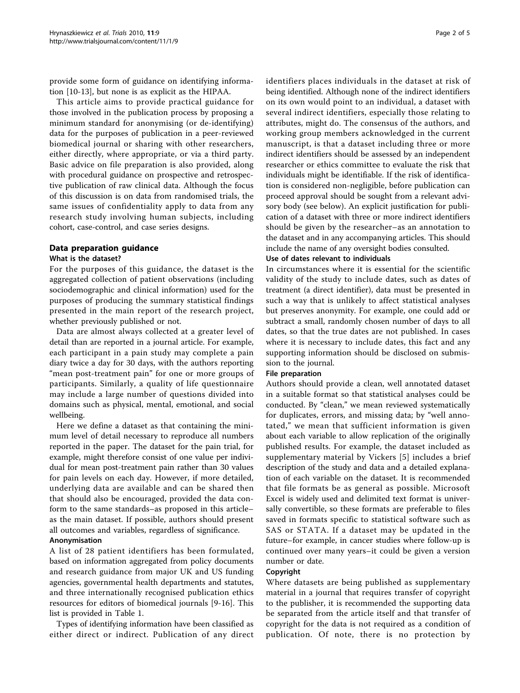provide some form of guidance on identifying information [\[10](#page-4-0)-[13](#page-4-0)], but none is as explicit as the HIPAA.

This article aims to provide practical guidance for those involved in the publication process by proposing a minimum standard for anonymising (or de-identifying) data for the purposes of publication in a peer-reviewed biomedical journal or sharing with other researchers, either directly, where appropriate, or via a third party. Basic advice on file preparation is also provided, along with procedural guidance on prospective and retrospective publication of raw clinical data. Although the focus of this discussion is on data from randomised trials, the same issues of confidentiality apply to data from any research study involving human subjects, including cohort, case-control, and case series designs.

#### Data preparation guidance

#### What is the dataset?

For the purposes of this guidance, the dataset is the aggregated collection of patient observations (including sociodemographic and clinical information) used for the purposes of producing the summary statistical findings presented in the main report of the research project, whether previously published or not.

Data are almost always collected at a greater level of detail than are reported in a journal article. For example, each participant in a pain study may complete a pain diary twice a day for 30 days, with the authors reporting "mean post-treatment pain" for one or more groups of participants. Similarly, a quality of life questionnaire may include a large number of questions divided into domains such as physical, mental, emotional, and social wellbeing.

Here we define a dataset as that containing the minimum level of detail necessary to reproduce all numbers reported in the paper. The dataset for the pain trial, for example, might therefore consist of one value per individual for mean post-treatment pain rather than 30 values for pain levels on each day. However, if more detailed, underlying data are available and can be shared then that should also be encouraged, provided the data conform to the same standards–as proposed in this article– as the main dataset. If possible, authors should present all outcomes and variables, regardless of significance.

### Anonymisation

A list of 28 patient identifiers has been formulated, based on information aggregated from policy documents and research guidance from major UK and US funding agencies, governmental health departments and statutes, and three internationally recognised publication ethics resources for editors of biomedical journals [[9-16](#page-4-0)]. This list is provided in Table [1.](#page-2-0)

Types of identifying information have been classified as either direct or indirect. Publication of any direct identifiers places individuals in the dataset at risk of being identified. Although none of the indirect identifiers on its own would point to an individual, a dataset with several indirect identifiers, especially those relating to attributes, might do. The consensus of the authors, and working group members acknowledged in the current manuscript, is that a dataset including three or more indirect identifiers should be assessed by an independent researcher or ethics committee to evaluate the risk that individuals might be identifiable. If the risk of identification is considered non-negligible, before publication can proceed approval should be sought from a relevant advisory body (see below). An explicit justification for publication of a dataset with three or more indirect identifiers should be given by the researcher–as an annotation to the dataset and in any accompanying articles. This should include the name of any oversight bodies consulted.

#### Use of dates relevant to individuals

In circumstances where it is essential for the scientific validity of the study to include dates, such as dates of treatment (a direct identifier), data must be presented in such a way that is unlikely to affect statistical analyses but preserves anonymity. For example, one could add or subtract a small, randomly chosen number of days to all dates, so that the true dates are not published. In cases where it is necessary to include dates, this fact and any supporting information should be disclosed on submission to the journal.

### File preparation

Authors should provide a clean, well annotated dataset in a suitable format so that statistical analyses could be conducted. By "clean," we mean reviewed systematically for duplicates, errors, and missing data; by "well annotated," we mean that sufficient information is given about each variable to allow replication of the originally published results. For example, the dataset included as supplementary material by Vickers [[5\]](#page-4-0) includes a brief description of the study and data and a detailed explanation of each variable on the dataset. It is recommended that file formats be as general as possible. Microsoft Excel is widely used and delimited text format is universally convertible, so these formats are preferable to files saved in formats specific to statistical software such as SAS or STATA. If a dataset may be updated in the future–for example, in cancer studies where follow-up is continued over many years–it could be given a version number or date.

### Copyright

Where datasets are being published as supplementary material in a journal that requires transfer of copyright to the publisher, it is recommended the supporting data be separated from the article itself and that transfer of copyright for the data is not required as a condition of publication. Of note, there is no protection by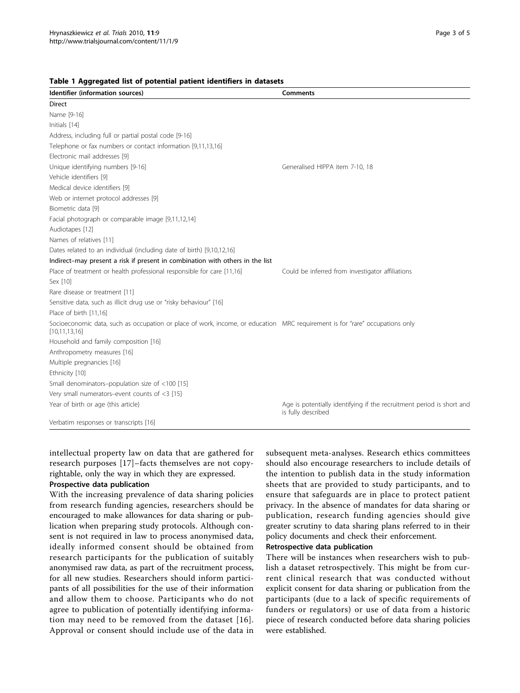| Identifier (information sources)                                                                                                                 | <b>Comments</b>                                                                             |
|--------------------------------------------------------------------------------------------------------------------------------------------------|---------------------------------------------------------------------------------------------|
| <b>Direct</b>                                                                                                                                    |                                                                                             |
| Name [9-16]                                                                                                                                      |                                                                                             |
| Initials [14]                                                                                                                                    |                                                                                             |
| Address, including full or partial postal code [9-16]                                                                                            |                                                                                             |
| Telephone or fax numbers or contact information [9,11,13,16]                                                                                     |                                                                                             |
| Electronic mail addresses [9]                                                                                                                    |                                                                                             |
| Unique identifying numbers [9-16]                                                                                                                | Generalised HIPPA item 7-10, 18                                                             |
| Vehicle identifiers [9]                                                                                                                          |                                                                                             |
| Medical device identifiers [9]                                                                                                                   |                                                                                             |
| Web or internet protocol addresses [9]                                                                                                           |                                                                                             |
| Biometric data [9]                                                                                                                               |                                                                                             |
| Facial photograph or comparable image [9,11,12,14]                                                                                               |                                                                                             |
| Audiotapes [12]                                                                                                                                  |                                                                                             |
| Names of relatives [11]                                                                                                                          |                                                                                             |
| Dates related to an individual (including date of birth) [9,10,12,16]                                                                            |                                                                                             |
| Indirect-may present a risk if present in combination with others in the list                                                                    |                                                                                             |
| Place of treatment or health professional responsible for care [11,16]                                                                           | Could be inferred from investigator affiliations                                            |
| Sex [10]                                                                                                                                         |                                                                                             |
| Rare disease or treatment [11]                                                                                                                   |                                                                                             |
| Sensitive data, such as illicit drug use or "risky behaviour" [16]                                                                               |                                                                                             |
| Place of birth [11,16]                                                                                                                           |                                                                                             |
| Socioeconomic data, such as occupation or place of work, income, or education MRC requirement is for "rare" occupations only<br>[10, 11, 13, 16] |                                                                                             |
| Household and family composition [16]                                                                                                            |                                                                                             |
| Anthropometry measures [16]                                                                                                                      |                                                                                             |
| Multiple pregnancies [16]                                                                                                                        |                                                                                             |
| Ethnicity [10]                                                                                                                                   |                                                                                             |
| Small denominators-population size of <100 [15]                                                                                                  |                                                                                             |
| Very small numerators-event counts of <3 [15]                                                                                                    |                                                                                             |
| Year of birth or age (this article)                                                                                                              | Age is potentially identifying if the recruitment period is short and<br>is fully described |
| Verbatim responses or transcripts [16]                                                                                                           |                                                                                             |

## <span id="page-2-0"></span>Table 1 Aggregated list of potential patient identifiers in datasets

intellectual property law on data that are gathered for research purposes [\[17\]](#page-4-0)–facts themselves are not copyrightable, only the way in which they are expressed.

#### Prospective data publication

With the increasing prevalence of data sharing policies from research funding agencies, researchers should be encouraged to make allowances for data sharing or publication when preparing study protocols. Although consent is not required in law to process anonymised data, ideally informed consent should be obtained from research participants for the publication of suitably anonymised raw data, as part of the recruitment process, for all new studies. Researchers should inform participants of all possibilities for the use of their information and allow them to choose. Participants who do not agree to publication of potentially identifying information may need to be removed from the dataset [[16\]](#page-4-0). Approval or consent should include use of the data in

subsequent meta-analyses. Research ethics committees should also encourage researchers to include details of the intention to publish data in the study information sheets that are provided to study participants, and to ensure that safeguards are in place to protect patient privacy. In the absence of mandates for data sharing or publication, research funding agencies should give greater scrutiny to data sharing plans referred to in their policy documents and check their enforcement.

#### Retrospective data publication

There will be instances when researchers wish to publish a dataset retrospectively. This might be from current clinical research that was conducted without explicit consent for data sharing or publication from the participants (due to a lack of specific requirements of funders or regulators) or use of data from a historic piece of research conducted before data sharing policies were established.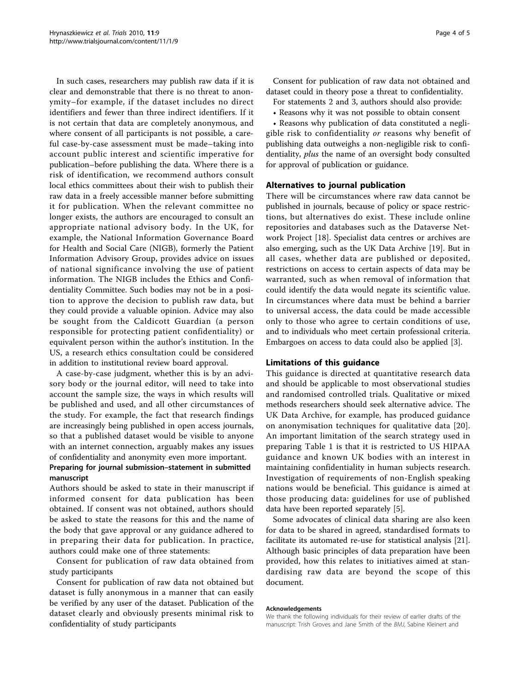In such cases, researchers may publish raw data if it is clear and demonstrable that there is no threat to anonymity–for example, if the dataset includes no direct identifiers and fewer than three indirect identifiers. If it is not certain that data are completely anonymous, and where consent of all participants is not possible, a careful case-by-case assessment must be made–taking into account public interest and scientific imperative for publication–before publishing the data. Where there is a risk of identification, we recommend authors consult local ethics committees about their wish to publish their raw data in a freely accessible manner before submitting it for publication. When the relevant committee no longer exists, the authors are encouraged to consult an appropriate national advisory body. In the UK, for example, the National Information Governance Board for Health and Social Care (NIGB), formerly the Patient Information Advisory Group, provides advice on issues of national significance involving the use of patient information. The NIGB includes the Ethics and Confidentiality Committee. Such bodies may not be in a position to approve the decision to publish raw data, but they could provide a valuable opinion. Advice may also be sought from the Caldicott Guardian (a person responsible for protecting patient confidentiality) or equivalent person within the author's institution. In the US, a research ethics consultation could be considered in addition to institutional review board approval.

A case-by-case judgment, whether this is by an advisory body or the journal editor, will need to take into account the sample size, the ways in which results will be published and used, and all other circumstances of the study. For example, the fact that research findings are increasingly being published in open access journals, so that a published dataset would be visible to anyone with an internet connection, arguably makes any issues of confidentiality and anonymity even more important.

## Preparing for journal submission–statement in submitted manuscript

Authors should be asked to state in their manuscript if informed consent for data publication has been obtained. If consent was not obtained, authors should be asked to state the reasons for this and the name of the body that gave approval or any guidance adhered to in preparing their data for publication. In practice, authors could make one of three statements:

Consent for publication of raw data obtained from study participants

Consent for publication of raw data not obtained but dataset is fully anonymous in a manner that can easily be verified by any user of the dataset. Publication of the dataset clearly and obviously presents minimal risk to confidentiality of study participants

Consent for publication of raw data not obtained and dataset could in theory pose a threat to confidentiality.

- For statements 2 and 3, authors should also provide:
- Reasons why it was not possible to obtain consent

• Reasons why publication of data constituted a negligible risk to confidentiality or reasons why benefit of publishing data outweighs a non-negligible risk to confidentiality, *plus* the name of an oversight body consulted for approval of publication or guidance.

## Alternatives to journal publication

There will be circumstances where raw data cannot be published in journals, because of policy or space restrictions, but alternatives do exist. These include online repositories and databases such as the Dataverse Network Project [[18\]](#page-4-0). Specialist data centres or archives are also emerging, such as the UK Data Archive [[19](#page-4-0)]. But in all cases, whether data are published or deposited, restrictions on access to certain aspects of data may be warranted, such as when removal of information that could identify the data would negate its scientific value. In circumstances where data must be behind a barrier to universal access, the data could be made accessible only to those who agree to certain conditions of use, and to individuals who meet certain professional criteria. Embargoes on access to data could also be applied [[3\]](#page-4-0).

### Limitations of this guidance

This guidance is directed at quantitative research data and should be applicable to most observational studies and randomised controlled trials. Qualitative or mixed methods researchers should seek alternative advice. The UK Data Archive, for example, has produced guidance on anonymisation techniques for qualitative data [[20](#page-4-0)]. An important limitation of the search strategy used in preparing Table [1](#page-2-0) is that it is restricted to US HIPAA guidance and known UK bodies with an interest in maintaining confidentiality in human subjects research. Investigation of requirements of non-English speaking nations would be beneficial. This guidance is aimed at those producing data: guidelines for use of published data have been reported separately [[5\]](#page-4-0).

Some advocates of clinical data sharing are also keen for data to be shared in agreed, standardised formats to facilitate its automated re-use for statistical analysis [[21](#page-4-0)]. Although basic principles of data preparation have been provided, how this relates to initiatives aimed at standardising raw data are beyond the scope of this document.

#### Acknowledgements

We thank the following individuals for their review of earlier drafts of the manuscript: Trish Groves and Jane Smith of the BMJ, Sabine Kleinert and